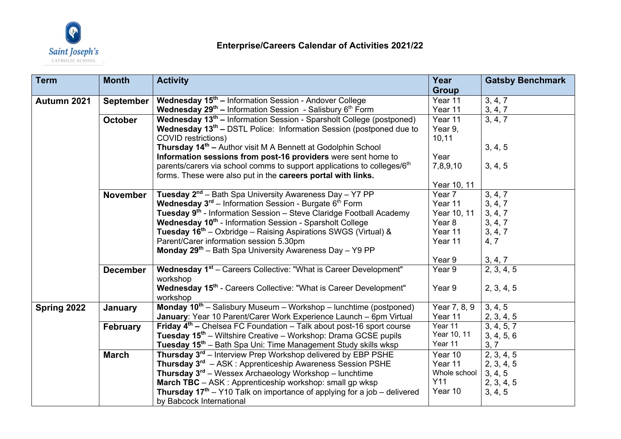

| <b>Term</b> | <b>Month</b>     | <b>Activity</b>                                                                     | Year         | <b>Gatsby Benchmark</b> |
|-------------|------------------|-------------------------------------------------------------------------------------|--------------|-------------------------|
|             |                  |                                                                                     | <b>Group</b> |                         |
| Autumn 2021 | <b>September</b> | Wednesday 15 <sup>th</sup> - Information Session - Andover College                  | Year 11      | 3, 4, 7                 |
|             |                  | Wednesday 29 <sup>th</sup> - Information Session - Salisbury 6 <sup>th</sup> Form   | Year 11      | 3, 4, 7                 |
|             | <b>October</b>   | Wednesday 13 <sup>th</sup> – Information Session - Sparsholt College (postponed)    | Year 11      | 3, 4, 7                 |
|             |                  | <b>Wednesday 13th - DSTL Police: Information Session (postponed due to</b>          | Year 9,      |                         |
|             |                  | <b>COVID restrictions)</b>                                                          | 10,11        |                         |
|             |                  | Thursday 14 <sup>th</sup> - Author visit M A Bennett at Godolphin School            |              | 3, 4, 5                 |
|             |                  | Information sessions from post-16 providers were sent home to                       | Year         |                         |
|             |                  | parents/carers via school comms to support applications to colleges/6 <sup>th</sup> | 7,8,9,10     | 3, 4, 5                 |
|             |                  | forms. These were also put in the careers portal with links.                        |              |                         |
|             |                  |                                                                                     | Year 10, 11  |                         |
|             | <b>November</b>  | <b>Tuesday 2<sup>nd</sup></b> – Bath Spa University Awareness Day – Y7 PP           | Year 7       | 3, 4, 7                 |
|             |                  | Wednesday 3 <sup>rd</sup> - Information Session - Burgate 6 <sup>th</sup> Form      | Year 11      | 3, 4, 7                 |
|             |                  | Tuesday 9 <sup>th</sup> - Information Session - Steve Claridge Football Academy     | Year 10, 11  | 3, 4, 7                 |
|             |                  | Wednesday 10 <sup>th</sup> - Information Session - Sparsholt College                | Year 8       | 3, 4, 7                 |
|             |                  | Tuesday 16 <sup>th</sup> – Oxbridge – Raising Aspirations SWGS (Virtual) &          | Year 11      | 3, 4, 7                 |
|             |                  | Parent/Carer information session 5.30pm                                             | Year 11      | 4, 7                    |
|             |                  | Monday 29 <sup>th</sup> - Bath Spa University Awareness Day - Y9 PP                 |              |                         |
|             |                  |                                                                                     | Year 9       | 3, 4, 7                 |
|             | <b>December</b>  | <b>Wednesday 1<sup>st</sup></b> – Careers Collective: "What is Career Development"  | Year 9       | 2, 3, 4, 5              |
|             |                  | workshop                                                                            |              |                         |
|             |                  | Wednesday 15 <sup>th</sup> - Careers Collective: "What is Career Development"       | Year 9       | 2, 3, 4, 5              |
|             |                  | workshop                                                                            |              |                         |
| Spring 2022 | January          | <b>Monday 10<sup>th</sup></b> – Salisbury Museum – Workshop – lunchtime (postponed) | Year 7, 8, 9 | 3, 4, 5                 |
|             |                  | January: Year 10 Parent/Carer Work Experience Launch - 6pm Virtual                  | Year 11      | 2, 3, 4, 5              |
|             | <b>February</b>  | Friday $4th$ – Chelsea FC Foundation – Talk about post-16 sport course              | Year 11      | 3, 4, 5, 7              |
|             |                  | Tuesday 15 <sup>th</sup> – Wiltshire Creative – Workshop: Drama GCSE pupils         | Year 10, 11  | 3, 4, 5, 6              |
|             |                  | Tuesday 15 <sup>th</sup> – Bath Spa Uni: Time Management Study skills wksp          | Year 11      | 3, 7                    |
|             | <b>March</b>     | Thursday 3 <sup>rd</sup> – Interview Prep Workshop delivered by EBP PSHE            | Year 10      | 2, 3, 4, 5              |
|             |                  | Thursday 3 <sup>rd</sup> - ASK: Apprenticeship Awareness Session PSHE               | Year 11      | 2, 3, 4, 5              |
|             |                  | <b>Thursday 3<sup>rd</sup></b> – Wessex Archaeology Workshop – lunchtime            | Whole school | 3, 4, 5                 |
|             |                  | March TBC - ASK: Apprenticeship workshop: small gp wksp                             | Y11          | 2, 3, 4, 5              |
|             |                  | <b>Thursday 17th</b> – Y10 Talk on importance of applying for a job – delivered     | Year 10      | 3, 4, 5                 |
|             |                  | by Babcock International                                                            |              |                         |